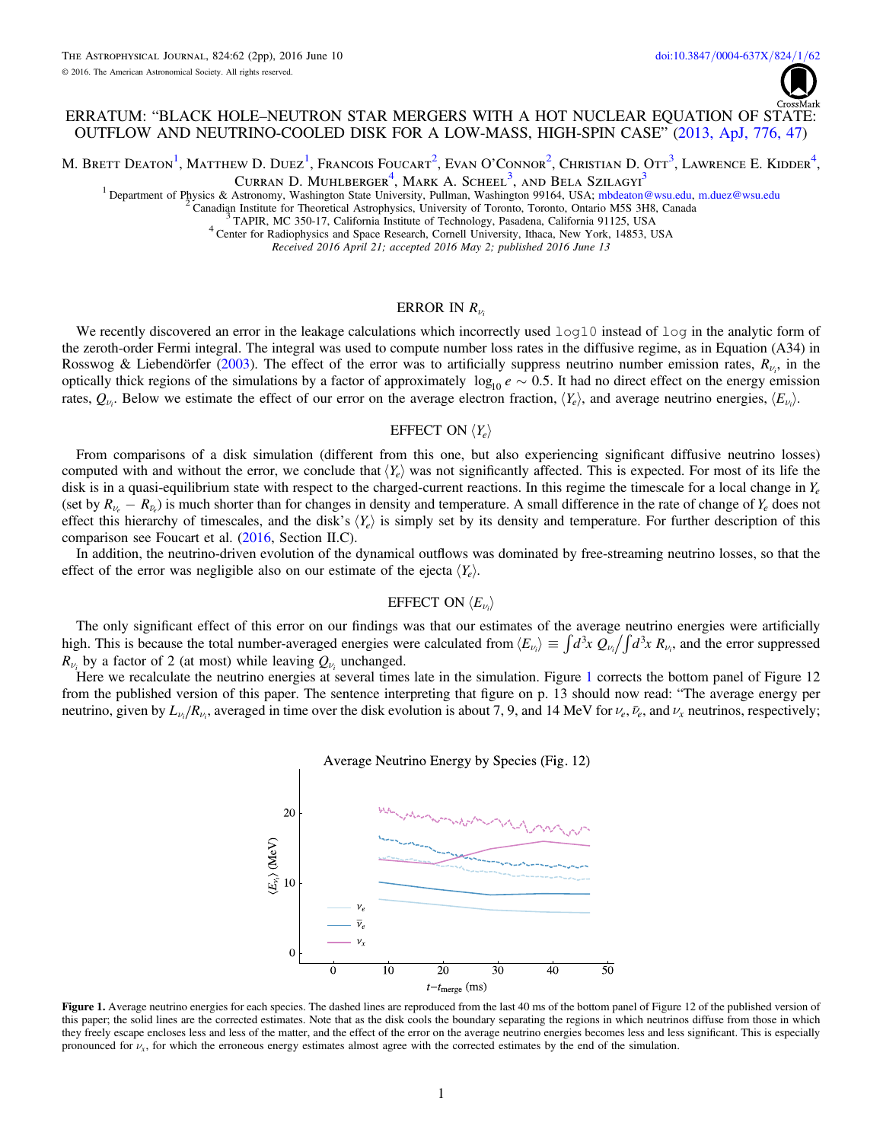

## ERRATUM: "BLACK HOLE–NEUTRON STAR MERGERS WITH A HOT NUCLEAR EQUATION OF STATE: OUTFLOW AND NEUTRINO-COOLED DISK FOR A LOW-MASS, HIGH-SPIN CASE" ([2013, ApJ, 776, 47](http://dx.doi.org/10.1088/0004-637x/776/1/47))

<span id="page-0-0"></span>M. Brett Deaton<sup>[1](#page-0-0)</sup>, Matthew D. Duez<sup>1</sup>, Francois Foucart<sup>[2](#page-0-1)</sup>, Evan O'Connor<sup>2</sup>, Christian D. Ott<sup>[3](#page-0-2)</sup>, Lawrence E. Kidder<sup>[4](#page-0-3)</sup>,

Curran D. Muhlberger<sup>[4](#page-0-3)</sup>, Mark A. Scheel<sup>[3](#page-0-2)</sup>, and Bela Szilagyi<sup>3</sup>

<span id="page-0-3"></span><span id="page-0-2"></span><span id="page-0-1"></span><sup>1</sup> Department of Physics & Astronomy, Washington State University, Pullman, Washington 99164, USA; [mbdeaton@wsu.edu,](mailto:mbdeaton@wsu.edu) [m.duez@wsu.edu](mailto:m.duez@wsu.edu) <sup>2</sup> Canadian Institute for Theoretical Astrophysics, University of Toronto, Toronto, Ont

<sup>4</sup> Center for Radiophysics and Space Research, Cornell University, Ithaca, New York, 14853, USA<br>Received 2016 April 21; accepted 2016 May 2; published 2016 June 13

#### ERROR IN  $R_{\mu}$

We recently discovered an error in the leakage calculations which incorrectly used  $log10$  instead of  $log10$  in the analytic form of the zeroth-order Fermi integral. The integral was used to compute number loss rates in the diffusive regime, as in Equation (A34) in Rosswog & Liebendörfer ([2003](#page-1-0)). The effect of the error was to artificially suppress neutrino number emission rates,  $R_{\nu_i}$ , in the optically thick regions of the simulations by a factor of approximately  $log_{10} e \sim 0.5$ . It had no direct effect on the energy emission rates,  $Q_{\nu_i}$ . Below we estimate the effect of our error on the average electron fraction,  $\langle Y_e \rangle$ , and average neutrino energies,  $\langle E_{\nu_i} \rangle$ .

### EFFECT ON  $\langle Y_e \rangle$

From comparisons of a disk simulation (different from this one, but also experiencing significant diffusive neutrino losses) computed with and without the error, we conclude that  $\langle Y_e \rangle$  was not significantly affected. This is expected. For most of its life the disk is in a quasi-equilibrium state with respect to the charged-current reactions. In this regime the timescale for a local change in *Ye* (set by  $R_{\nu_e} - R_{\bar{\nu}_e}$ ) is much shorter than for changes in density and temperature. A small difference in the rate of change of  $Y_e$  does not effect this hierarchy of timescales, and the disk's  $\langle Y_e \rangle$  is simply set by its density and temperature. For further description of this comparison see Foucart et al. ([2016,](#page-1-1) Section II.C).

In addition, the neutrino-driven evolution of the dynamical outflows was dominated by free-streaming neutrino losses, so that the effect of the error was negligible also on our estimate of the ejecta  $\langle Y_e \rangle$ .

#### EFFECT ON  $\langle E_{\nu_i} \rangle$

The only significant effect of this error on our findings was that our estimates of the average neutrino energies were artificially high. This is because the total number-averaged energies were calculated from  $\langle E_{\nu_i} \rangle \equiv \int d^3x Q_{\nu_i} / \int d^3x R_{\nu_i}$ , and the error suppressed  $R_{\nu_i}$  by a factor of 2 (at most) while leaving  $Q_{\nu_i}$  unchanged.

<span id="page-0-4"></span>Here we recalculate the neutrino energies at several times late in the simulation. Figure [1](#page-0-4) corrects the bottom panel of Figure 12 from the published version of this paper. The sentence interpreting that figure on p. 13 should now read: "The average energy per neutrino, given by  $L_{\nu_i}/R_{\nu_i}$ , averaged in time over the disk evolution is about 7, 9, and 14 MeV for  $\nu_e$ ,  $\bar{\nu}_e$ , and  $\nu_x$  neutrinos, respectively;



Figure 1. Average neutrino energies for each species. The dashed lines are reproduced from the last 40 ms of the bottom panel of Figure 12 of the published version of this paper; the solid lines are the corrected estimates. Note that as the disk cools the boundary separating the regions in which neutrinos diffuse from those in which they freely escape encloses less and less of the matter, and the effect of the error on the average neutrino energies becomes less and less significant. This is especially pronounced for  $\nu_x$ , for which the erroneous energy estimates almost agree with the corrected estimates by the end of the simulation.